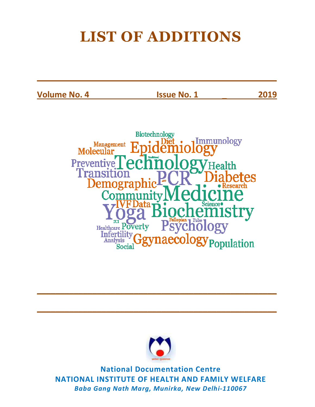# **LIST OF ADDITIONS**

**\_\_\_\_\_\_\_\_\_\_\_\_\_\_\_\_\_\_\_\_\_\_\_\_\_\_\_\_\_\_\_\_\_\_\_\_\_\_\_\_\_\_\_\_\_\_\_\_\_\_\_\_**

**Volume No. 4 Issue No. 1 \_ 2019** 





**\_\_\_\_\_\_\_\_\_\_\_\_\_\_\_\_\_\_\_\_\_\_\_\_\_\_\_\_\_\_\_\_\_\_\_\_\_\_\_\_\_\_\_\_\_\_\_\_\_\_\_\_**

**\_\_\_\_\_\_\_\_\_\_\_\_\_\_\_\_\_\_\_\_\_\_\_\_\_\_\_\_\_\_\_\_\_\_\_\_\_\_\_\_\_\_\_\_\_\_\_\_\_\_\_\_**

**National Documentation Centre NATIONAL INSTITUTE OF HEALTH AND FAMILY WELFARE**  *Baba Gang Nath Marg, Munirka, New Delhi-110067*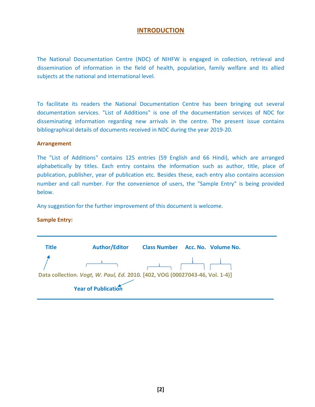## **INTRODUCTION**

The National Documentation Centre (NDC) of NIHFW is engaged in collection, retrieval and dissemination of information in the field of health, population, family welfare and its allied subjects at the national and international level.

To facilitate its readers the National Documentation Centre has been bringing out several documentation services. "List of Additions" is one of the documentation services of NDC for disseminating information regarding new arrivals in the centre. The present issue contains bibliographical details of documents received in NDC during the year 2019-20.

#### **Arrangement**

The "List of Additions" contains 125 entries (59 English and 66 Hindi), which are arranged alphabetically by titles. Each entry contains the information such as author, title, place of publication, publisher, year of publication etc. Besides these, each entry also contains accession number and call number. For the convenience of users, the "Sample Entry" is being provided below.

Any suggestion for the further improvement of this document is welcome.

### **Sample Entry:**

| <b>Title</b>                                                                 | <b>Author/Editor</b> | <b>Class Number</b><br>Acc. No. Volume No. |
|------------------------------------------------------------------------------|----------------------|--------------------------------------------|
|                                                                              |                      |                                            |
| Data collection. Vogt, W. Paul, Ed. 2010. [402, VOG (00027043-46, Vol. 1-4)] |                      |                                            |
|                                                                              | Year of Publication  |                                            |

**\_\_\_\_\_\_\_\_\_\_\_\_\_\_\_\_\_\_\_\_\_\_\_\_\_\_\_\_\_\_\_\_\_\_\_\_\_\_\_\_\_\_\_\_\_\_\_\_\_\_\_\_\_\_\_\_\_\_\_\_\_\_\_\_\_\_\_\_\_\_\_\_\_\_\_\_\_\_**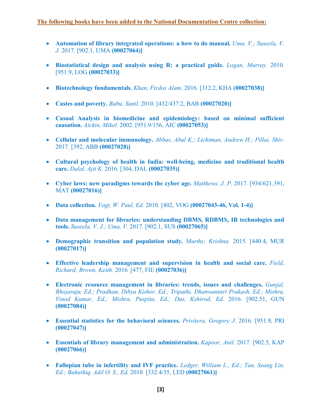- **Automation of library integrated operations: a how to do manual.** Uma, V.; Suseela, V. *J.* 2017*.* [902.1, UMA **(00027064)]**
- **Biostatistical design and analysis using R: a practical guide.** *Logan, Murray.* 2010*.*  [951.9, LOG **(00027033)]**
- **Biotechnology fundamentals.** *Khan, Firdos Alam.* 2016*.* [312.2, KHA **(00027038)]**
- **Castes and poverty.** *Babu, Sunil.* 2010*.* [432/437.2, BAB **(00027020)]**
- **Casual Analysis in biomedicine and epidemiology: based on minimal sufficient causation.** *Aickin, Mikel.* 2002. [951.9/156, AIC **(00027053)]**
- **Cellular and molecular immunology.** *Abbas, Abul K.; Lichtman, Andrew H.; Pillai, Shiv.*  2017*.* [392, ABB **(00027028)]**
- **Cultural psychology of health in India: well-being, medicine and traditional health care.** *Dalal, Ajit K.* 2016*.* [304, DAL **(00027035)]**
- **Cyber laws: new paradigms towards the cyber age.** *Matthews, J. P.* 2017. [934/621.391, MAT **(00027016)]**
- **Data collection.** *Vogt, W. Paul, Ed.* 2010*.* [402, VOG **(00027043-46, Vol. 1-4)]**
- **Data management for libraries: understanding DBMS, RDBMS, IR technologies and tools.** *Suseela, V. J.; Uma, V.* 2017*.* [902.1, SUS **(00027065)]**
- **Demographic transition and population study.** *Murthy, Krishna.* 2015*.* [440.4, MUR **(00027017)]**
- **Effective leadership management and supervision in health and social care.** *Field, Richard; Brown, Keith.* 2016*.* [477, FIE **(00027036)]**
- **Electronic resource management in libraries: trends, issues and challenges.** *Gunjal, Bhojaraju, Ed.; Pradhan, Dibya Kishor, Ed.; Tripathi, Dhanwantari Prakash, Ed.; Mishra, Vinod Kumar, Ed.; Mishra, Puspita, Ed.; Das, Kshirod, Ed.* 2016*.* [902.51, GUN **(00027084)]**
- **Essential statistics for the behavioral sciences.** *Privitera, Gregory J.* 2016*.* [951.9, PRI **(00027047)]**
- **Essentials of library management and administration.** *Kapoor, Anil.* 2017. [902.5, KAP] **(00027066)]**
- **Fallopian tube in infertility and IVF practice.** *Ledger, William L., Ed.; Tan, Seang Lin, Ed.; Bahathiq, Adil O. S., Ed.* 2010*.* [332.4/35, LED **(00027061)]**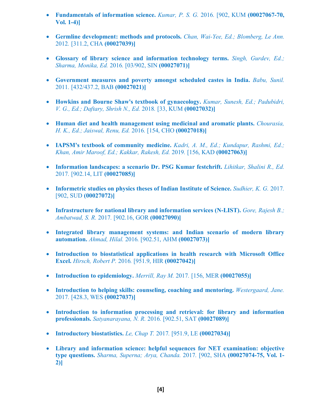- **Fundamentals of information science.** *Kumar, P. S. G.* 2016*.* [902, KUM **(00027067-70, Vol. 1-4)]**
- **Germline development: methods and protocols.** *Chan, Wai-Yee, Ed.; Blomberg, Le Ann.*  2012*.* [311.2, CHA **(00027039)]**
- **Glossary of library science and information technology terms.** *Singh, Gurdev, Ed.; Sharma, Monika, Ed.* 2016*.* [03/902, SIN **(00027071)]**
- **Government measures and poverty amongst scheduled castes in India.** *Babu, Sunil.*  2011*.* [432/437.2, BAB **(00027021)]**
- **Howkins and Bourne Shaw's textbook of gynaecology.** *Kumar, Sunesh, Ed.; Padubidri, V. G., Ed.; Daftary, Shrish N., Ed.* 2018*.* [33, KUM **(00027032)]**
- **Human diet and health management using medicinal and aromatic plants.** *Chourasia, H. K., Ed.; Jaiswal, Renu, Ed.* 2016*.* [154, CHO **(00027018)]**
- **IAPSM's textbook of community medicine.** *Kadri, A. M., Ed.; Kundapur, Rashmi, Ed.; Khan, Amir Maroof, Ed.; Kakkar, Rakesh, Ed.* 2019*.* [156, KAD **(00027063)]**
- **Information landscapes: a scenario Dr. PSG Kumar festchrift.** *Lihitkar, Shalini R., Ed.*  2017*.* [902.14, LIT **(00027085)]**
- **Informetric studies on physics theses of Indian Institute of Science.** *Sudhier, K. G.* 2017. [902, SUD **(00027072)]**
- **Infrastructure for national library and information services (N-LIST).** *Gore, Rajesh B.; Ambatwad, S. R.* 2017*.* [902.16, GOR **(00027090)]**
- **Integrated library management systems: and Indian scenario of modern library automation.** *Ahmad, Hilal.* 2016*.* [902.51, AHM **(00027073)]**
- **Introduction to biostatistical applications in health research with Microsoft Office Excel.** *Hirsch, Robert P.* 2016*.* [951.9, HIR **(00027042)]**
- **Introduction to epidemiology.** *Merrill, Ray M.* 2017*.* [156, MER **(00027055)]**
- **Introduction to helping skills: counseling, coaching and mentoring.** *Westergaard, Jane.*  2017*.* [428.3, WES **(00027037)]**
- **Introduction to information processing and retrieval: for library and information professionals.** *Satyanarayana, N. R.* 2016*.* [902.51, SAT **(00027089)]**
- **Introductory biostatistics.** *Le, Chap T.* 2017*.* [951.9, LE **(00027034)]**
- **Library and information science: helpful sequences for NET examination: objective type questions.** *Sharma, Superna; Arya, Chanda.* 2017*.* [902, SHA **(00027074-75, Vol. 1- 2)]**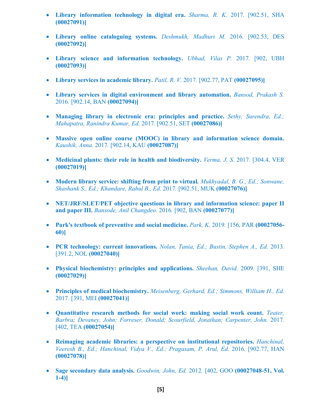- **Library information technology in digital era.** *Sharma, R. K.* 2017*.* [902.51, SHA **(00027091)]**
- **Library online cataloguing systems.** *Deshmukh, Madhuri M.* 2016*.* [902.53, DES **(00027092)]**
- **Library science and information technology.** *Ubhad, Vilas P.* 2017*.* [902, UBH **(00027093)]**
- Library services in academic library. *Patil, R. V.* 2017. [902.77, PAT (00027095)]
- **Library services in digital environment and library automation.** *Bansod, Prakash S.*  2016*.* [902.14, BAN **(00027094)]**
- **Managing library in electronic era: principles and practice.** *Sethy, Surendra, Ed.; Mahapatra, Ranindra Kumar, Ed.* 2017*.* [902.51, SET **(00027086)]**
- **Massive open online course (MOOC) in library and information science domain.**  *Kaushik, Anna.* 2017*.* [902.14, KAU **(00027087)]**
- **Medicinal plants: their role in health and biodiversity.** *Verma, J. S.* 2017. [304.4, VER **(00027019)]**
- **Modern library service: shifting from print to virtual.** *Mukhyadal, B. G., Ed.; Sonwane, Shashank S., Ed.; Khandare, Rahul B., Ed.* 2017*.* [902.51, MUK **(00027076)]**
- **NET/JRF/SLET/PET objective questions in library and information science: paper II and paper III.** *Bansode, Anil Changdeo.* 2016*.* [902, BAN **(00027077)]**
- **Park's textbook of preventive and social medicine.** *Park, K.* 2019*.* [156, PAR **(00027056- 60)]**
- **PCR technology: current innovations.** *Nolan, Tania, Ed.; Bustin, Stephen A., Ed.* 2013*.*  [391.2, NOL **(00027040)]**
- **Physical biochemistry: principles and applications.** *Sheehan, David.* 2009*.* [391, SHE **(00027029)]**
- **Principles of medical biochemistry.** *Meisenberg, Gerhard, Ed.; Simmons, William H., Ed.*  2017*.* [391, MEI **(00027041)]**
- **Quantitative research methods for social work: making social work count.** *Teater, Barbra; Devaney, John; Forreser, Donald; Scourfield, Jonathan; Carpenter, John.* 2017*.*  [402, TEA **(00027054)]**
- **Reimaging academic libraries: a perspective on institutional repositories.** *Hanchinal, Veeresh B., Ed.; Hanchinal, Vidya V., Ed.; Pragasam, P. Arul, Ed.* 2016*.* [902.77, HAN **(00027078)]**
- **Sage secondary data analysis.** *Goodwin, John, Ed.* 2012*.* [402, GOO **(00027048-51, Vol. 1-4)]**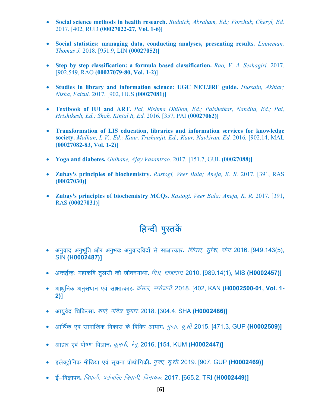- **Social science methods in health research.** *Rudnick, Abraham, Ed.; Forchuk, Cheryl, Ed.*  2017*.* [402, RUD **(00027022-27, Vol. 1-6)]**
- **Social statistics: managing data, conducting analyses, presenting results.** *Linneman, Thomas J.* 2018*.* [951.9, LIN **(00027052)]**
- **Step by step classification: a formula based classification.** *Rao, V. A. Seshagiri.* 2017*.*  [902.549, RAO **(00027079-80, Vol. 1-2)]**
- **Studies in library and information science: UGC NET/JRF guide.** *Hussain, Akhtar; Nisha, Faizul.* 2017*.* [902, HUS **(00027081)]**
- **Textbook of IUI and ART.** *Pai, Rishma Dhillon, Ed.; Palshetkar, Nandita, Ed.; Pai, Hrishikesh, Ed.; Shah, Kinjal R, Ed.* 2016*.* [357, PAI **(00027062)]**
- **Transformation of LIS education, libraries and information services for knowledge society.** *Malhan, I. V., Ed.; Kaur, Trishanjit, Ed.; Kaur, Navkiran, Ed.* 2016*.* [902.14, MAL **(00027082-83, Vol. 1-2)]**
- **Yoga and diabetes.** *Gulhane, Ajay Vasantrao.* 2017*.* [151.7, GUL **(00027088)]**
- **Zubay's principles of biochemistry.** *Rastogi, Veer Bala; Aneja, K. R.* 2017*.* [391, RAS **(00027030)]**
- **Zubay's principles of biochemistry MCQs.** *Rastogi, Veer Bala; Aneja, K. R.* 2017*.* [391, RAS **(00027031)]**

#### <u>हिन्दी पुस्तकें</u>

- *vu qokn vu qHk wfr vkSj vu qHko% vu qoknfonksa l s lk{kkRdkj***.** *fla?ky] l qj s'k] laik-* 2016. [949.143(5), SIN **(H0002487)]**
- *vUr} ZU}% egkdfo r qylh dh thouxkFkk***.** *feJ] jktkjke*. 2010. [989.14(1), MIS **(H0002457)]**
- *vk/kqfud vu ql a/kku ,o a lk{kkRdkj***.** *daly] ljkstuh*. 2018. [402, KAN **(H0002500-01, Vol. 1- 2)]**
- *vk;qo sZn fpfdRlk***.** *'kekZ] ifo= d qekj*. 2018. [304.4, SHA **(H0002486)]**
- *vkfFk Zd ,o a lkekftd fodkl ds fofo/k vk;ke***.** *xqIrk] ;w-lh-* 2015. [471.3, GUP **(H0002509)]**
- *vkgkj ,o a ik s***ष***.k foKku***.** *dqekjh] j su w*. 2016. [154, KUM **(H0002447)]**
- *bysDV ªksfud ehfM;k ,o a lwpuk izk s|ksfxdh***.** *xqIrk] ;w-lh-* 2019. [907, GUP **(H0002469)]**
- ई–विज्ञापन. *त्रिपाठी, पतंजलि; त्रिपाठी, विनायक*. 2017. [665.2, TRI **(H0002449)]**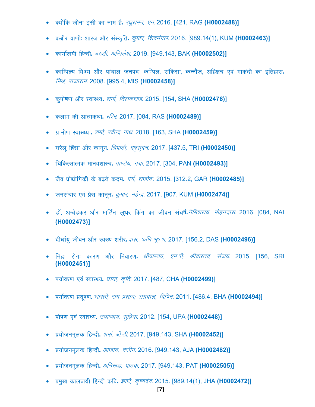- *D;ksafd thuk blh dk uke g S***.** *j?kqjkeu] ,u-* 2016. [421, RAG **(H0002488)]**
- *dchj ok.kh% 'kkL= vk Sj laLd`fr***.** *dqekj] f'koeaxy*. 2016. [989.14(1), KUM **(H0002463)]**
- *dk;kZy;h fgUnh***.** *c['kh] vf[kys'k*. 2019. [949.143, BAK **(H0002502)]**
- *dkfEiY; fo***ष***; vk Sj ikapky tuin% dfEiy] lafdlk] dUuk St] vfg{k= ,o a ekdanh dk bfrgkl***.**  *मिश्र. राजाराम*. 2008. [995.4, MIS (H0002458)]
- *d qiks***ष***.k vkSj LokLF;***.** *'kekZ] frydjkt*. 2015. [154, SHA **(H0002476)]**
- *dyke dh vkRedFkk***.** *jf'e*. 2017. [084, RAS **(H0002489)]**
- *x zkeh.k LokLF;* **.** *'kekZ] johUn z ukFk*. 2018. [163, SHA **(H0002459)]**
- *?kj syw fgalk vkSj dku wu***.** *f=ikBh] e/k qlwnu*. 2017. [437.5, TRI **(H0002450)]**
- *fpfdRlkRed ekuo'kkL=***.** *ik.Ms;] x;k*. 2017. [304, PAN **(H0002493)]**
- जैव प्रोद्योगिकी के बढते कदम. *गर्ग, राजीव′*. 2015. [312.2, GAR **(H0002485)]**
- *tulapkj ,o a izsl dku wu***.** *dqekj] egsUn <sup>z</sup>*. 2017. [907, KUM **(H0002474)]**
- *MkW- vEc sMdj vk Sj ekfV Zu ywFkj fd ax dk thou la?k***ष.***Z <sup>u</sup> Sfe'kjk;] eksgunkl*. 2016. [084, NAI **(H0002473)]**
- *nh?kkZ; q thou vkSj LoLFk 'kjhj***.***nkl] Qf.k Hkw*ष*.k*. 2017. [156.2, DAS **(H0002496)]**
- *fun zk jk sx% dkj.k vkSj fuokj.k***.** *JhokLro] ,e-ih( JhokLro] lat;*. 2015. [156, SRI **(H0002451)]**
- पर्यावरण एवं स्वास्थ्य. *छाया, कृति*. 2017. [487, CHA (H0002499)]
- *i;kZoj.k izn w***ष***.k***.** *Hkkjrh] jke izlkn( vxzoky] fofiu*. 2011. [486.4, BHA **(H0002494)]**
- *iks***ष***.k ,o a LokLF;***.** *mik/;k;] lqfiz;k*. 2012. [154, UPA **(H0002448)]**
- प्रयोजनमूलक हिन्दी. *शर्मा, बी.डी.* 2017. [949.143, SHA **(H0002452)]**
- *iz;k stuewyd fgUnh***.** *vktkn] ulhe*. 2016. [949.143, AJA **(H0002482)]**
- *iz;k stuewyd fgUnh***.** *vfu:)] ikBd*. 2017. [949.143, PAT **(H0002505)]**
- *ize q[k dkyt;h fgUnh dfo***.** *>kjh] d`".kn so*. 2015. [989.14(1), JHA **(H0002472)]**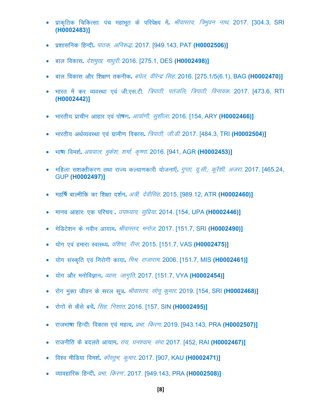- *izkd `frd fpfdRlk% i ap egkHkwr d s ifji s{; esa***.** *JhokLro] f=Hkqou ukFk*. 2017. [304.3, SRI **(H0002483)]**
- *iz'kklfud fgUnh***.** *ikBd] vfu:)*. 2017. [949.143, PAT **(H0002506)]**
- *cky fodkl***.** *ns'keq[k] ek/kqjh*. 2016. [275.1, DES **(H0002498)]**
- *cky fodkl vk Sj f'k{k.k rduhd***.** *c?ksy] ohj sUn z flag*. 2016. [275.1/5(6.1), BAG **(H0002470)]**
- *Hkkjr esa dj O;oLFkk ,o a th-,l-Vh- f=ikBh] ir atfy( f=ikBh] fouk;d*. 2017. [473.6, RTI **(H0002442)]**
- *Hkkjrh; izkphu vkgkj ,o a ik s***ष***.k***.** *vk;kZ.kh] l q'khyk*. 2016. [154, ARY **(H0002466)]**
- *Hkkjrh; vFkZO;oLFkk ,o a xzkeh.k fodkl***.** *f=ikBh] th-Mh-* 2017. [484.3, TRI **(H0002504)]**
- *Hkk***ष***k foe'kZ***.** *vxzoky] eqds'k( 'kek Z] d `".kk*. 2016. [941, AGR **(H0002453)]**
- *efgyk l'kDrhdj.k rFkk jkT; dY;k.kdkjh ;k stuk,W a***.** *xqIrk] ;w-lh-( d qj S'kh] vtjk*. 2017. [465.24, GUP **(H0002497)]**
- *egf***ष***Z ckYehfd dk f'k{kk n'kZu***.** *v=h] n sohflag*. 2015. [989.12, ATR **(H0002460)]**
- *ekuo vkgkj% ,d ifjp;* **.** *mik/;k;] lqfiz;k*. 2014. [154, UPA **(H0002446)]**
- *e sfMVs'ku ds uohu vk;ke***.** *JhokLro] eukst*. 2017. [151.7, SRI **(H0002490)]**
- *;ksx ,o a gekjk LokLF;***.** *of'k"B] jhuk*. 2015. [151.7, VAS **(H0002475)]**
- *;ksx l aLd`fr ,o a fujksxh dk;k***.** *feJ] jktkjke*. 2006. [151.7, MIS **(H0002461)]**
- *;ksx vk Sj euksfoKku***.** *O;kl] tkx`fr*. 2017. [151.7, VYA **(H0002454)]**
- *jk sx eqDr thou ds ljy lw=***.** *JhokLro] lksu w d qekj*. 2019. [154, SRI **(H0002468)]**
- *jk sxksa ls d Sls cpsa***.** *flag] fu'kkar*. 2016. [157, SIN **(H0002495)]**
- *jktHkk***ष***k fgUnh% fodkl ,o a egRo***.** *izHkk] fdj.k*. 2019. [943.143, PRA **(H0002507)]**
- *jktuhfr ds cnyr s vk;ke***.** *jk;] ?ku';ke] laik-* 2017. [452, RAI **(H0002467)]**
- *fo'o ehfM;k foe'kZ***.** *dkSLr <sup>q</sup>Hk] d qekj*. 2017. [907, KAU **(H0002471)]**
- *O;kogkfjd fgUnh***.** *izHkk] fdj.k\**. 2017. [949.143, PRA **(H0002508)]**